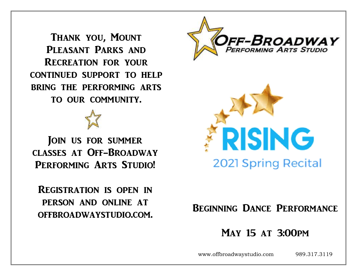Thank you, Mount PLEASANT PARKS AND Recreation for your continued support to help bring the performing arts to our community.

JOIN US FOR SUMMER classes at Off-Broadway PERFORMING ARTS STUDIO!

Registration is open in person and online at offbroadwaystudio.com.





# Beginning Dance Performance

# May 15 at 3:00pm

www.offbroadwaystudio.com 989.317.3119